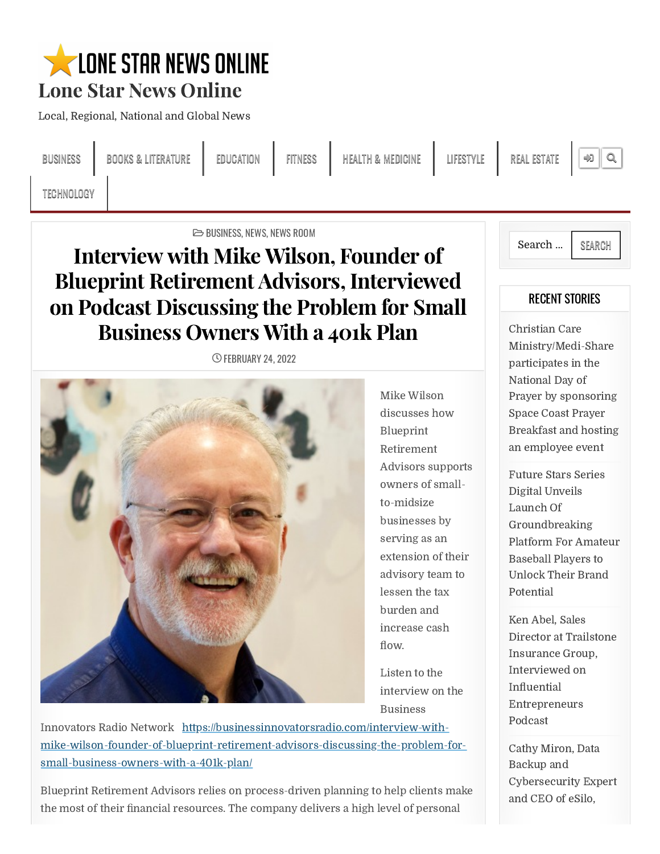# **WELDNE STAR NEWS ONLINE** Lone Star News Online

Local, Regional, National and Global News

BUSINESS BOOKS& LITERATURE EDUCATION FITNESS HEALTH & MEDICINE LIFESTYLE REAL ESTATE

TECHNOLOGY

 $\triangleright$  BUSINESS, NEWS, NEWS ROOM

## Interview with Mike Wilson, Founder of Blueprint Retirement Advisors, Interviewed on Podcast Discussing the Problem for Small Business Owners With a 401k Plan

**C FEBRUARY 24, 2022** 



Mike Wilson discusses how Blueprint Retirement Advisors supports owners of smallto-midsize businesses by serving as an extension of their advisory team to lessen the tax burden and increase cash FIDIOINE | LIFESTYLE | REAL ESTATE | 199 | Q.<br> **COLOR COMPTESTYLE** | REAL ESTATE | 199 | Q.<br> **COLOR COMPTESTYLE** | REGENT STORIES<br> **COLOR COMPTESTY | CONTESTATE | CONTESTATE |** CONTESTANCE INTERVALUED SATE PATT BETWEEN SER

Listen to the interview on the Business

Innovators Radio Network https://businessinnovatorsradio.com/interview-withmike-wilson-founder-of-blueprint-retirement-advisors-discussing-the-problem-forsmall-business-owners-with-a-401k-plan/

Blueprint Retirement Advisors relies on process-driven planning to help clients make the most of their financial resources. The company delivers a high level of personal



### RECENT STORIES

Christian Care Ministry/Medi-Share participates in the National Day of Prayer by sponsoring Space Coast Prayer Breakfast and hosting an employee event REAL ESTATE <br>
Search ... <br>
Search ... <br>
SEARCH<br>
<br>
RECENT STORIES<br>
Christian Care<br>
Ministry/Medi-Share<br>
participates in the<br>
National Day of<br>
Prayer by sponsoring<br>
Space Coast Prayer<br>
Breakfast and hosting<br>
an employee even

Future Stars Series Digital Unveils Launch Of Groundbreaking Platform For Amateur Baseball Players to Unlock Their Brand Potential

Ken Abel, Sales Director at Trailstone Insurance Group, Interviewed on Entrepreneurs Podcast

Cathy Miron, Data Backup and [Cybersecurity](https://lonestarnewsonline.com/cathy-miron-data-backup-and-cybersecurity-expert-and-ceo-of-esilo-interviewed-on-influential-entrepreneurs-podcast/) Expert and CEO of eSilo,

 $\mathfrak{p} \parallel \mathfrak{a}_0$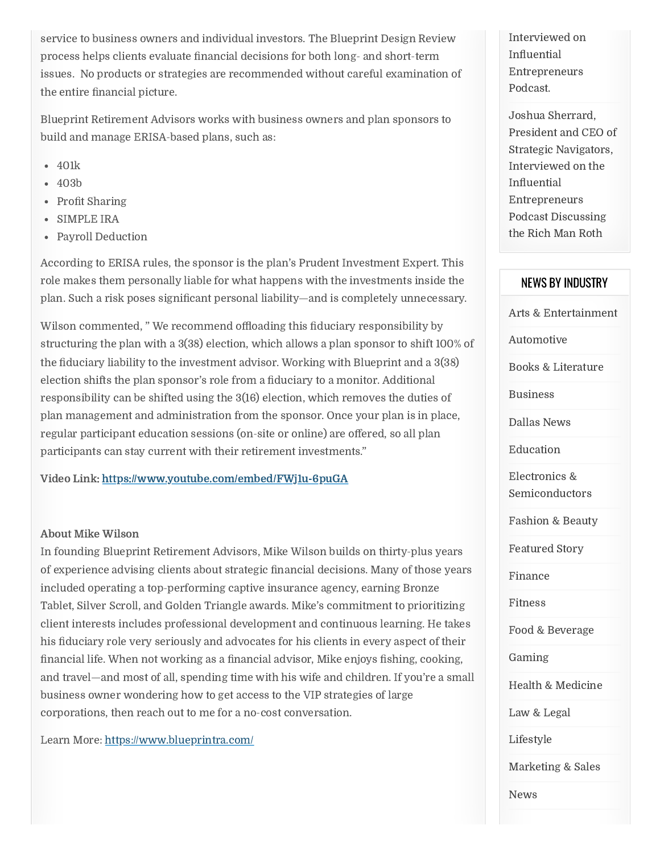service to business owners and individual investors. The Blueprint Design Review issues. No products or strategies are recommended without careful examination of eervice to business owners and individual investors. The Blueprint Design Review Interviewed on process helps clients evaluate financial decisions for both long- and short-term influential sisues. No products or strategie whers and individual investors. The Blueprint Design Review Interviewed on evaluate financial decisions for both long- and short-term<br>
or strategies are recommended without careful examination of Entrepreneurs<br>
For the Mar service to business owners and individual investors. The Blueprint Design Review<br>process helps clients evaluate financial decisions for both long- and short-term<br>issues. No products or strategies are recommended without ca

Blueprint Retirement Advisors works with business owners and plan sponsors to build and manage ERISA-based plans, such as: eprint Retirement Adviso<br>ld and manage ERISA-bas<br>401k<br>403b<br>Profit Sharing

- 401k
- 403b
- 
- SIMPLE IRA
- Payroll Deduction

According to ERISA rules, the sponsor is the plan's Prudent Investment Expert. This role makes them personally liable for what happens with the investments inside the

the entire financial picture.<br>
Blueprint Retirement Advisors works with build and manage ERISA-based plans, such<br>
• 401k<br>
• 403b<br>
• Profit Sharing<br>
• SIMPLE IRA<br>
• Payroll Deduction<br>
According to ERISA rules, the sponsor i Wilson commented, "We recommend offloading this fiduciary responsibility by structuring the plan with a 3(38) election, which allows a plan sponsor to shift 100% of election ships a comers and individual investors. The Blueprint Design Review Interviewed on<br>
Interviewed on the plan sponsor and short-term<br>
internal beams. No products or strategies are recommended without careful examin responsibility can be shifted using the 3(16) election, which removes the duties of plan management and administration from the sponsor. Once your plan is in place, ervice to business owners and individual investors. The Buegrint Design Review Interviewed on<br>
Free Schops dients evaluate financial decisions for both long- and short-term<br>
influential issues. No products or strategies ar participants can stay current with their retirement investments. " aervice to business owners and individual investors. The Blueprint Design steview Interviewed on<br>process helps clients colance financial decisions for both bony and short term<br>infinancial information of the metric financi service to business owners and individual investors. The Blueprint Design Review<br>process helps clients evaluate financial decisions for both long- and short-term<br>sisues. No products or strategies are recommended without ca **EXECUTE CONSULTER SONAUTE AND ASSOCIATE ADVENISE CONSULTER AND ASSOCIATE CONSULTER SERVICT CONSULTER AND ASSOCIATE CONSULTER AND ASSOCIATE CONSULTER THE CONSULTER CONSULTER THE CONSULTER CONSULTER THE CONSULTER CONSULTER** 

Video Link: <https://www.youtube.com/embed/FWj1u-6puGA>

#### About Mike Wilson

process helps client evaluate funancial decisions for both lengths and short-term<br>
the entire Research Advisors works with business ovaries and short-term<br>
the entire financial pietter, the state of the short-term is the In founding Blueprint Retirement Advisors, Mike Wilson builds on thirty-plus years included operating a top-performing captive insurance agency, earning Bronze Tablet, Silver Scroll, and Golden Triangle awards. Mike's commitment to prioritizing client interests includes professional development and continuous learning. He takes and travel—and most of all, spending time with his wife and children. If you're a small business owner wondering how to get access to the VIP strategies of large corporations, then reach out to me for a no-cost conversation.

Learn More: <https://www.blueprintra.com/>

Interviewed on Entrepreneurs Podcast.

Influential<br>Entrepreneurs<br>Podcast.<br>Joshua Sherrard,<br>President and CEO of<br>Strategic Navigators,<br>Interviewed on the<br>Influential<br>Entrepreneurs<br>Podcast Discussing<br>the Rich Man Roth<br>NEWS BY INDUSTRY<br>Arts & Entertainment<br>Automot Joshua Sherrard, President and CEO of Strategic Navigators, Interviewed on the Influential<br>Entrepreneurs Entrepreneurs Podcast Discussing the Rich Man Roth

#### NEWS BY INDUSTRY

Arts & Entertainment

Automotive

Books & Literature

Business

Dallas News

Education

Electronics & **Semiconductors** 

Fashion & Beauty

Featured Story

Finance

Fitness

Food & Beverage

Gaming

Health & Medicine

Law & Legal

[Lifestyle](https://lonestarnewsonline.com/category/lifestyle/)

[Marketing](https://lonestarnewsonline.com/category/marketing-sales/) & Sales

[News](https://lonestarnewsonline.com/category/news/)